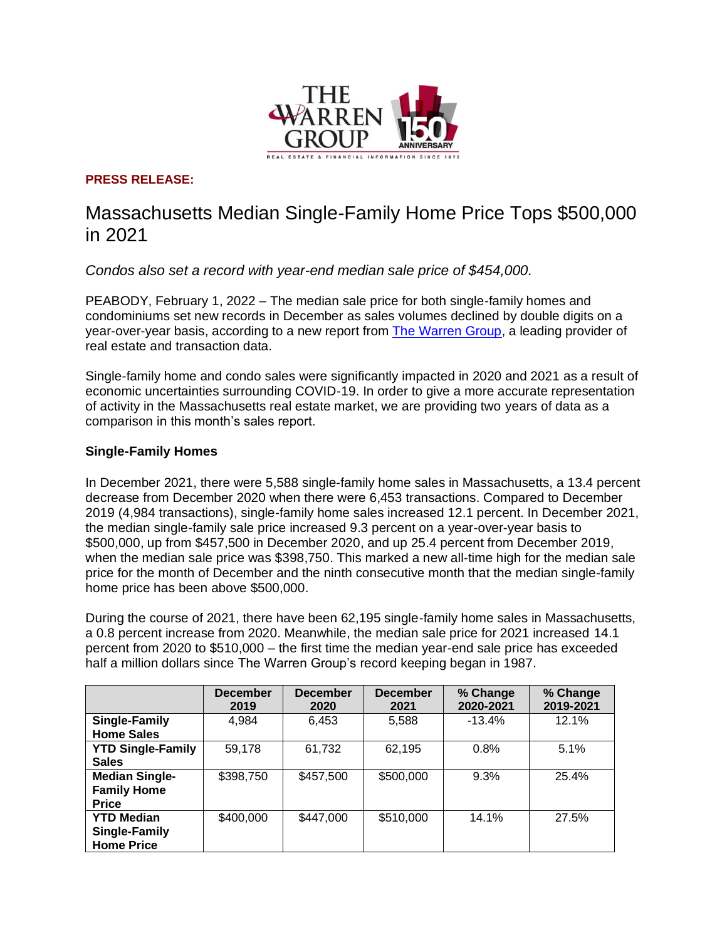

## **PRESS RELEASE:**

# Massachusetts Median Single-Family Home Price Tops \$500,000 in 2021

*Condos also set a record with year-end median sale price of \$454,000.*

PEABODY, February 1, 2022 – The median sale price for both single-family homes and condominiums set new records in December as sales volumes declined by double digits on a year-over-year basis, according to a new report from [The Warren Group,](https://www.thewarrengroup.com/) a leading provider of real estate and transaction data.

Single-family home and condo sales were significantly impacted in 2020 and 2021 as a result of economic uncertainties surrounding COVID-19. In order to give a more accurate representation of activity in the Massachusetts real estate market, we are providing two years of data as a comparison in this month's sales report.

#### **Single-Family Homes**

In December 2021, there were 5,588 single-family home sales in Massachusetts, a 13.4 percent decrease from December 2020 when there were 6,453 transactions. Compared to December 2019 (4,984 transactions), single-family home sales increased 12.1 percent. In December 2021, the median single-family sale price increased 9.3 percent on a year-over-year basis to \$500,000, up from \$457,500 in December 2020, and up 25.4 percent from December 2019, when the median sale price was \$398,750. This marked a new all-time high for the median sale price for the month of December and the ninth consecutive month that the median single-family home price has been above \$500,000.

During the course of 2021, there have been 62,195 single-family home sales in Massachusetts, a 0.8 percent increase from 2020. Meanwhile, the median sale price for 2021 increased 14.1 percent from 2020 to \$510,000 – the first time the median year-end sale price has exceeded half a million dollars since The Warren Group's record keeping began in 1987.

|                                                                | <b>December</b><br>2019 | <b>December</b><br>2020 | <b>December</b><br>2021 | % Change<br>2020-2021 | % Change<br>2019-2021 |
|----------------------------------------------------------------|-------------------------|-------------------------|-------------------------|-----------------------|-----------------------|
| <b>Single-Family</b><br><b>Home Sales</b>                      | 4,984                   | 6,453                   | 5,588                   | $-13.4%$              | 12.1%                 |
| <b>YTD Single-Family</b><br><b>Sales</b>                       | 59,178                  | 61,732                  | 62,195                  | 0.8%                  | 5.1%                  |
| <b>Median Single-</b><br><b>Family Home</b><br><b>Price</b>    | \$398,750               | \$457,500               | \$500,000               | 9.3%                  | 25.4%                 |
| <b>YTD Median</b><br><b>Single-Family</b><br><b>Home Price</b> | \$400,000               | \$447,000               | \$510,000               | 14.1%                 | 27.5%                 |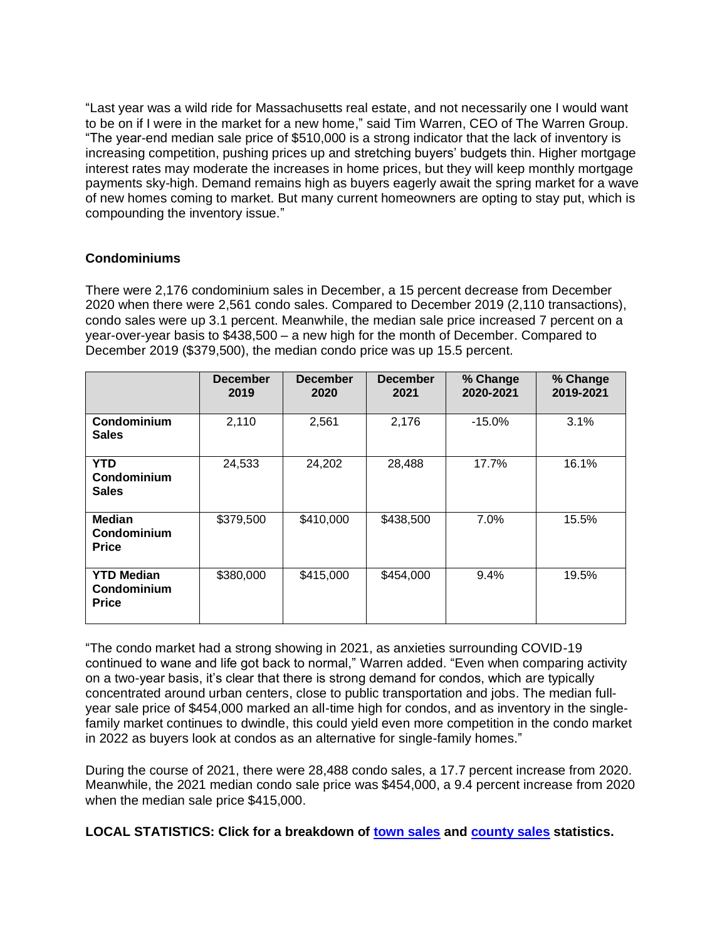"Last year was a wild ride for Massachusetts real estate, and not necessarily one I would want to be on if I were in the market for a new home," said Tim Warren, CEO of The Warren Group. "The year-end median sale price of \$510,000 is a strong indicator that the lack of inventory is increasing competition, pushing prices up and stretching buyers' budgets thin. Higher mortgage interest rates may moderate the increases in home prices, but they will keep monthly mortgage payments sky-high. Demand remains high as buyers eagerly await the spring market for a wave of new homes coming to market. But many current homeowners are opting to stay put, which is compounding the inventory issue."

#### **Condominiums**

There were 2,176 condominium sales in December, a 15 percent decrease from December 2020 when there were 2,561 condo sales. Compared to December 2019 (2,110 transactions), condo sales were up 3.1 percent. Meanwhile, the median sale price increased 7 percent on a year-over-year basis to \$438,500 – a new high for the month of December. Compared to December 2019 (\$379,500), the median condo price was up 15.5 percent.

|                                                  | <b>December</b><br>2019 | <b>December</b><br>2020 | <b>December</b><br>2021 | % Change<br>2020-2021 | % Change<br>2019-2021 |
|--------------------------------------------------|-------------------------|-------------------------|-------------------------|-----------------------|-----------------------|
| Condominium<br><b>Sales</b>                      | 2,110                   | 2,561                   | 2,176                   | $-15.0%$              | 3.1%                  |
| <b>YTD</b><br>Condominium<br><b>Sales</b>        | 24,533                  | 24,202                  | 28,488                  | 17.7%                 | 16.1%                 |
| <b>Median</b><br>Condominium<br><b>Price</b>     | \$379,500               | \$410,000               | \$438,500               | 7.0%                  | 15.5%                 |
| <b>YTD Median</b><br>Condominium<br><b>Price</b> | \$380,000               | \$415,000               | \$454,000               | 9.4%                  | 19.5%                 |

"The condo market had a strong showing in 2021, as anxieties surrounding COVID-19 continued to wane and life got back to normal," Warren added. "Even when comparing activity on a two-year basis, it's clear that there is strong demand for condos, which are typically concentrated around urban centers, close to public transportation and jobs. The median fullyear sale price of \$454,000 marked an all-time high for condos, and as inventory in the singlefamily market continues to dwindle, this could yield even more competition in the condo market in 2022 as buyers look at condos as an alternative for single-family homes."

During the course of 2021, there were 28,488 condo sales, a 17.7 percent increase from 2020. Meanwhile, the 2021 median condo sale price was \$454,000, a 9.4 percent increase from 2020 when the median sale price \$415,000.

**LOCAL STATISTICS: Click for a breakdown of [town sales](https://www.thewarrengroup.com/wp-content/uploads/2022/01/MA-December-2021-Sales_Town.pdf) and [county sales](https://www.thewarrengroup.com/wp-content/uploads/2022/01/MA-December-2021-Sales_County.pdf) statistics.**